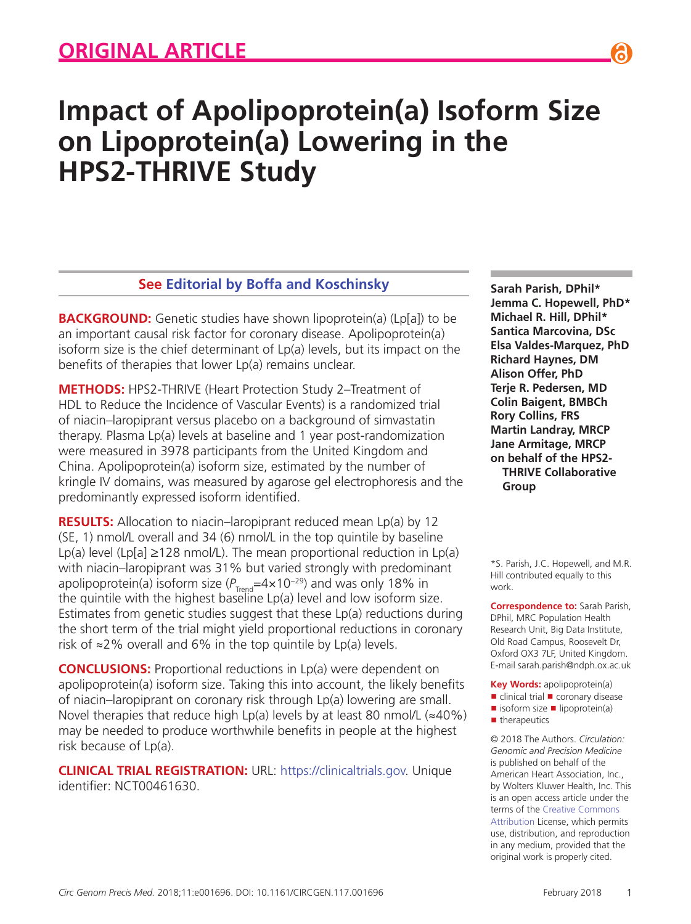# **See Editorial by Boffa and Koschinsky**

**BACKGROUND:** Genetic studies have shown lipoprotein(a) (Lp[a]) to be an important causal risk factor for coronary disease. Apolipoprotein(a) isoform size is the chief determinant of Lp(a) levels, but its impact on the benefits of therapies that lower Lp(a) remains unclear.

**METHODS:** HPS2-THRIVE (Heart Protection Study 2–Treatment of HDL to Reduce the Incidence of Vascular Events) is a randomized trial of niacin–laropiprant versus placebo on a background of simvastatin therapy. Plasma Lp(a) levels at baseline and 1 year post-randomization were measured in 3978 participants from the United Kingdom and China. Apolipoprotein(a) isoform size, estimated by the number of kringle IV domains, was measured by agarose gel electrophoresis and the predominantly expressed isoform identified.

**RESULTS:** Allocation to niacin–laropiprant reduced mean Lp(a) by 12 (SE, 1) nmol/L overall and 34 (6) nmol/L in the top quintile by baseline Lp(a) level (Lp[a]  $\geq$ 128 nmol/L). The mean proportional reduction in Lp(a) with niacin–laropiprant was 31% but varied strongly with predominant apolipoprotein(a) isoform size ( $P_{\text{Trend}}$ =4×10<sup>-29</sup>) and was only 18% in the quintile with the highest baseline Lp(a) level and low isoform size. Estimates from genetic studies suggest that these Lp(a) reductions during the short term of the trial might yield proportional reductions in coronary risk of  $\approx$ 2% overall and 6% in the top quintile by Lp(a) levels.

**CONCLUSIONS:** Proportional reductions in Lp(a) were dependent on apolipoprotein(a) isoform size. Taking this into account, the likely benefits of niacin–laropiprant on coronary risk through Lp(a) lowering are small. Novel therapies that reduce high Lp(a) levels by at least 80 nmol/L ( $\approx$ 40%) may be needed to produce worthwhile benefits in people at the highest risk because of Lp(a).

**CLINICAL TRIAL REGISTRATION:** URL: https://clinicaltrials.gov. Unique identifier: NCT00461630.

**Sarah Parish, DPhil\* Jemma C. Hopewell, PhD\* Michael R. Hill, DPhil\* Santica Marcovina, DSc Elsa Valdes-Marquez, PhD Richard Haynes, DM Alison Offer, PhD Terje R. Pedersen, MD Colin Baigent, BMBCh Rory Collins, FRS Martin Landray, MRCP Jane Armitage, MRCP on behalf of the HPS2- THRIVE Collaborative Group**

\*S. Parish, J.C. Hopewell, and M.R. Hill contributed equally to this work.

**Correspondence to:** Sarah Parish, DPhil, MRC Population Health Research Unit, Big Data Institute, Old Road Campus, Roosevelt Dr, Oxford OX3 7LF, United Kingdom. E-mai[l sarah.parish@ndph.ox.ac.uk](mailto:sarah.parish@ndph.ox.ac.uk)

**Key Words:** apolipoprotein(a) ■ clinical trial ■ coronary disease

 $\blacksquare$  isoform size  $\blacksquare$  lipoprotein(a) ■ therapeutics

© 2018 The Authors. *Circulation: Genomic and Precision Medicine* is published on behalf of the American Heart Association, Inc., by Wolters Kluwer Health, Inc. This is an open access article under the terms of the Creative Commons Attribution License, which permits use, distribution, and reproduction in any medium, provided that the original work is properly cited.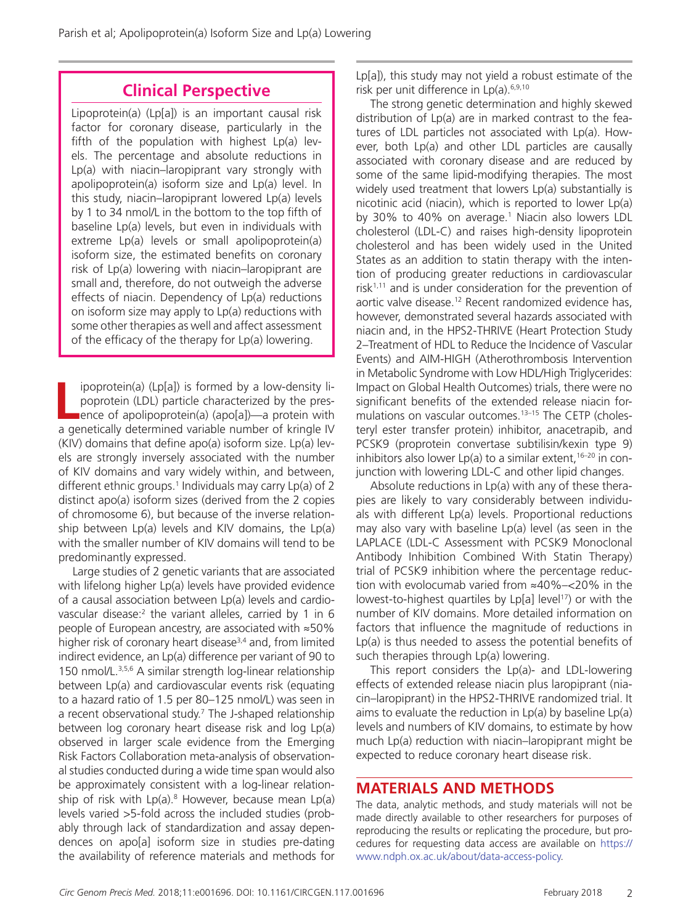# **Clinical Perspective**

Lipoprotein(a) (Lp[a]) is an important causal risk factor for coronary disease, particularly in the fifth of the population with highest Lp(a) levels. The percentage and absolute reductions in Lp(a) with niacin–laropiprant vary strongly with apolipoprotein(a) isoform size and Lp(a) level. In this study, niacin–laropiprant lowered Lp(a) levels by 1 to 34 nmol/L in the bottom to the top fifth of baseline Lp(a) levels, but even in individuals with extreme Lp(a) levels or small apolipoprotein(a) isoform size, the estimated benefits on coronary risk of Lp(a) lowering with niacin–laropiprant are small and, therefore, do not outweigh the adverse effects of niacin. Dependency of Lp(a) reductions on isoform size may apply to Lp(a) reductions with some other therapies as well and affect assessment of the efficacy of the therapy for Lp(a) lowering.

ipoprotein(a) (Lp[a]) is formed by a low-density lipoprotein (LDL) particle characterized by the presence of apolipoprotein(a) (apo[a])—a protein with a genetically determined variable number of kringle IV ipoprotein(a) (Lp[a]) is formed by a low-density lipoprotein (LDL) particle characterized by the presence of apolipoprotein(a) (apo[a])—a protein with (KIV) domains that define apo(a) isoform size. Lp(a) levels are strongly inversely associated with the number of KIV domains and vary widely within, and between, different ethnic groups.<sup>1</sup> Individuals may carry Lp(a) of 2 distinct apo(a) isoform sizes (derived from the 2 copies of chromosome 6), but because of the inverse relationship between Lp(a) levels and KIV domains, the Lp(a) with the smaller number of KIV domains will tend to be predominantly expressed.

Large studies of 2 genetic variants that are associated with lifelong higher Lp(a) levels have provided evidence of a causal association between Lp(a) levels and cardiovascular disease:<sup>2</sup> the variant alleles, carried by 1 in 6 people of European ancestry, are associated with ≈50% higher risk of coronary heart disease<sup>3,4</sup> and, from limited indirect evidence, an Lp(a) difference per variant of 90 to 150 nmol/L.3,5,6 A similar strength log-linear relationship between Lp(a) and cardiovascular events risk (equating to a hazard ratio of 1.5 per 80–125 nmol/L) was seen in a recent observational study.7 The J-shaped relationship between log coronary heart disease risk and log Lp(a) observed in larger scale evidence from the Emerging Risk Factors Collaboration meta-analysis of observational studies conducted during a wide time span would also be approximately consistent with a log-linear relationship of risk with Lp(a).8 However, because mean Lp(a) levels varied >5-fold across the included studies (probably through lack of standardization and assay dependences on apo[a] isoform size in studies pre-dating the availability of reference materials and methods for

Lp[a]), this study may not yield a robust estimate of the risk per unit difference in Lp(a).6,9,10

The strong genetic determination and highly skewed distribution of Lp(a) are in marked contrast to the features of LDL particles not associated with Lp(a). However, both Lp(a) and other LDL particles are causally associated with coronary disease and are reduced by some of the same lipid-modifying therapies. The most widely used treatment that lowers Lp(a) substantially is nicotinic acid (niacin), which is reported to lower Lp(a) by 30% to 40% on average.<sup>1</sup> Niacin also lowers LDL cholesterol (LDL-C) and raises high-density lipoprotein cholesterol and has been widely used in the United States as an addition to statin therapy with the intention of producing greater reductions in cardiovascular risk<sup>1,11</sup> and is under consideration for the prevention of aortic valve disease.12 Recent randomized evidence has, however, demonstrated several hazards associated with niacin and, in the HPS2-THRIVE (Heart Protection Study 2–Treatment of HDL to Reduce the Incidence of Vascular Events) and AIM-HIGH (Atherothrombosis Intervention in Metabolic Syndrome with Low HDL/High Triglycerides: Impact on Global Health Outcomes) trials, there were no significant benefits of the extended release niacin formulations on vascular outcomes.<sup>13-15</sup> The CETP (cholesteryl ester transfer protein) inhibitor, anacetrapib, and PCSK9 (proprotein convertase subtilisin/kexin type 9) inhibitors also lower  $Lp(a)$  to a similar extent,  $16-20$  in conjunction with lowering LDL-C and other lipid changes.

Absolute reductions in Lp(a) with any of these therapies are likely to vary considerably between individuals with different Lp(a) levels. Proportional reductions may also vary with baseline Lp(a) level (as seen in the LAPLACE (LDL-C Assessment with PCSK9 Monoclonal Antibody Inhibition Combined With Statin Therapy) trial of PCSK9 inhibition where the percentage reduction with evolocumab varied from ≈40%–<20% in the lowest-to-highest quartiles by Lp[a] level<sup>17</sup>) or with the number of KIV domains. More detailed information on factors that influence the magnitude of reductions in Lp(a) is thus needed to assess the potential benefits of such therapies through Lp(a) lowering.

This report considers the Lp(a)- and LDL-lowering effects of extended release niacin plus laropiprant (niacin–laropiprant) in the HPS2-THRIVE randomized trial. It aims to evaluate the reduction in  $Lp(a)$  by baseline  $Lp(a)$ levels and numbers of KIV domains, to estimate by how much Lp(a) reduction with niacin–laropiprant might be expected to reduce coronary heart disease risk.

# **MATERIALS AND METHODS**

The data, analytic methods, and study materials will not be made directly available to other researchers for purposes of reproducing the results or replicating the procedure, but procedures for requesting data access are available on https:// www.ndph.ox.ac.uk/about/data-access-policy.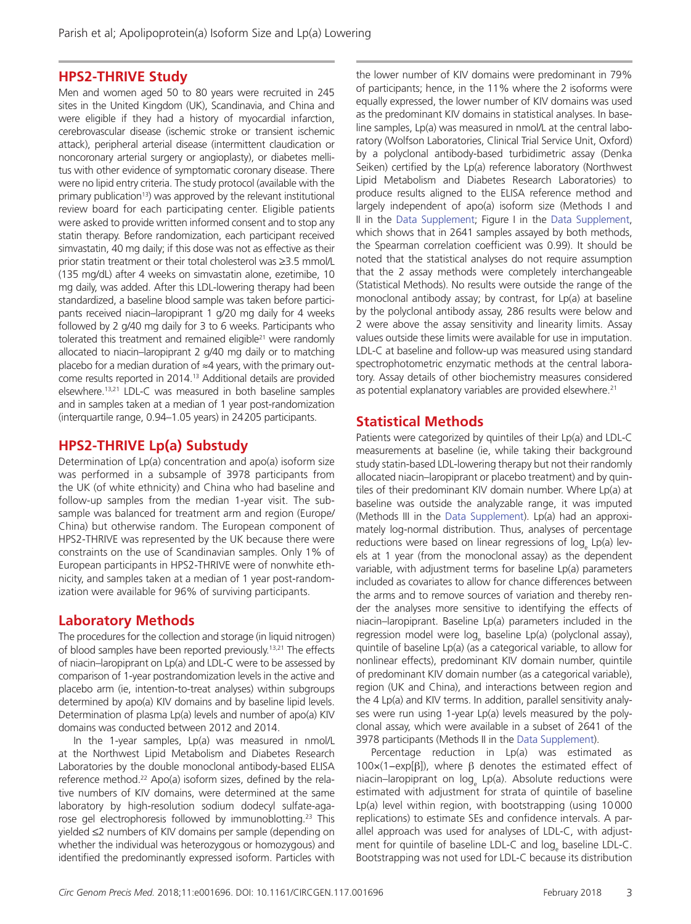### **HPS2-THRIVE Study**

Men and women aged 50 to 80 years were recruited in 245 sites in the United Kingdom (UK), Scandinavia, and China and were eligible if they had a history of myocardial infarction, cerebrovascular disease (ischemic stroke or transient ischemic attack), peripheral arterial disease (intermittent claudication or noncoronary arterial surgery or angioplasty), or diabetes mellitus with other evidence of symptomatic coronary disease. There were no lipid entry criteria. The study protocol (available with the primary publication<sup>13</sup>) was approved by the relevant institutional review board for each participating center. Eligible patients were asked to provide written informed consent and to stop any statin therapy. Before randomization, each participant received simvastatin, 40 mg daily; if this dose was not as effective as their prior statin treatment or their total cholesterol was ≥3.5 mmol/L (135 mg/dL) after 4 weeks on simvastatin alone, ezetimibe, 10 mg daily, was added. After this LDL-lowering therapy had been standardized, a baseline blood sample was taken before participants received niacin–laropiprant 1 g/20 mg daily for 4 weeks followed by 2 g/40 mg daily for 3 to 6 weeks. Participants who tolerated this treatment and remained eligible<sup>21</sup> were randomly allocated to niacin–laropiprant 2 g/40 mg daily or to matching placebo for a median duration of ≈4 years, with the primary outcome results reported in 2014.13 Additional details are provided elsewhere.13,21 LDL-C was measured in both baseline samples and in samples taken at a median of 1 year post-randomization (interquartile range, 0.94–1.05 years) in 24205 participants.

### **HPS2-THRIVE Lp(a) Substudy**

Determination of Lp(a) concentration and apo(a) isoform size was performed in a subsample of 3978 participants from the UK (of white ethnicity) and China who had baseline and follow-up samples from the median 1-year visit. The subsample was balanced for treatment arm and region (Europe/ China) but otherwise random. The European component of HPS2-THRIVE was represented by the UK because there were constraints on the use of Scandinavian samples. Only 1% of European participants in HPS2-THRIVE were of nonwhite ethnicity, and samples taken at a median of 1 year post-randomization were available for 96% of surviving participants.

### **Laboratory Methods**

The procedures for the collection and storage (in liquid nitrogen) of blood samples have been reported previously.13,21 The effects of niacin–laropiprant on Lp(a) and LDL-C were to be assessed by comparison of 1-year postrandomization levels in the active and placebo arm (ie, intention-to-treat analyses) within subgroups determined by apo(a) KIV domains and by baseline lipid levels. Determination of plasma Lp(a) levels and number of apo(a) KIV domains was conducted between 2012 and 2014.

In the 1-year samples, Lp(a) was measured in nmol/L at the Northwest Lipid Metabolism and Diabetes Research Laboratories by the double monoclonal antibody-based ELISA reference method.<sup>22</sup> Apo(a) isoform sizes, defined by the relative numbers of KIV domains, were determined at the same laboratory by high-resolution sodium dodecyl sulfate-agarose gel electrophoresis followed by immunoblotting.23 This yielded ≤2 numbers of KIV domains per sample (depending on whether the individual was heterozygous or homozygous) and identified the predominantly expressed isoform. Particles with

the lower number of KIV domains were predominant in 79% of participants; hence, in the 11% where the 2 isoforms were equally expressed, the lower number of KIV domains was used as the predominant KIV domains in statistical analyses. In baseline samples, Lp(a) was measured in nmol/L at the central laboratory (Wolfson Laboratories, Clinical Trial Service Unit, Oxford) by a polyclonal antibody-based turbidimetric assay (Denka Seiken) certified by the Lp(a) reference laboratory (Northwest Lipid Metabolism and Diabetes Research Laboratories) to produce results aligned to the ELISA reference method and largely independent of apo(a) isoform size (Methods I and II in the Data Supplement; Figure I in the Data Supplement, which shows that in 2641 samples assayed by both methods, the Spearman correlation coefficient was 0.99). It should be noted that the statistical analyses do not require assumption that the 2 assay methods were completely interchangeable (Statistical Methods). No results were outside the range of the monoclonal antibody assay; by contrast, for Lp(a) at baseline by the polyclonal antibody assay, 286 results were below and 2 were above the assay sensitivity and linearity limits. Assay values outside these limits were available for use in imputation. LDL-C at baseline and follow-up was measured using standard spectrophotometric enzymatic methods at the central laboratory. Assay details of other biochemistry measures considered as potential explanatory variables are provided elsewhere.<sup>21</sup>

### **Statistical Methods**

Patients were categorized by quintiles of their Lp(a) and LDL-C measurements at baseline (ie, while taking their background study statin-based LDL-lowering therapy but not their randomly allocated niacin–laropiprant or placebo treatment) and by quintiles of their predominant KIV domain number. Where Lp(a) at baseline was outside the analyzable range, it was imputed (Methods III in the Data Supplement). Lp(a) had an approximately log-normal distribution. Thus, analyses of percentage reductions were based on linear regressions of log<sub>e</sub> Lp(a) levels at 1 year (from the monoclonal assay) as the dependent variable, with adjustment terms for baseline Lp(a) parameters included as covariates to allow for chance differences between the arms and to remove sources of variation and thereby render the analyses more sensitive to identifying the effects of niacin–laropiprant. Baseline Lp(a) parameters included in the regression model were log<sub>e</sub> baseline Lp(a) (polyclonal assay), quintile of baseline Lp(a) (as a categorical variable, to allow for nonlinear effects), predominant KIV domain number, quintile of predominant KIV domain number (as a categorical variable), region (UK and China), and interactions between region and the 4 Lp(a) and KIV terms. In addition, parallel sensitivity analyses were run using 1-year Lp(a) levels measured by the polyclonal assay, which were available in a subset of 2641 of the 3978 participants (Methods II in the Data Supplement).

Percentage reduction in Lp(a) was estimated as 100×(1−exp[β]), where β denotes the estimated effect of niacin–laropiprant on log<sub>e</sub> Lp(a). Absolute reductions were estimated with adjustment for strata of quintile of baseline Lp(a) level within region, with bootstrapping (using 10000 replications) to estimate SEs and confidence intervals. A parallel approach was used for analyses of LDL-C, with adjustment for quintile of baseline LDL-C and log<sub>e</sub> baseline LDL-C. Bootstrapping was not used for LDL-C because its distribution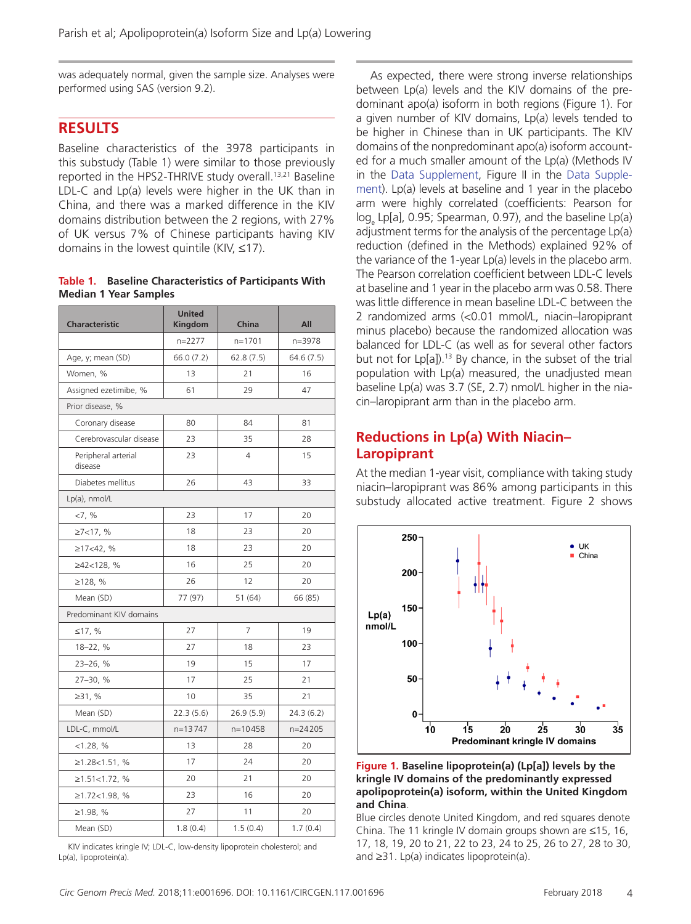was adequately normal, given the sample size. Analyses were performed using SAS (version 9.2).

### **RESULTS**

Baseline characteristics of the 3978 participants in this substudy (Table 1) were similar to those previously reported in the HPS2-THRIVE study overall.<sup>13,21</sup> Baseline LDL-C and Lp(a) levels were higher in the UK than in China, and there was a marked difference in the KIV domains distribution between the 2 regions, with 27% of UK versus 7% of Chinese participants having KIV domains in the lowest quintile (KIV, ≤17).

#### **Table 1. Baseline Characteristics of Participants With Median 1 Year Samples**

| <b>Characteristic</b>          | <b>United</b><br>Kingdom | China       | All         |  |
|--------------------------------|--------------------------|-------------|-------------|--|
|                                | $n=2277$                 | $n = 1701$  | n=3978      |  |
| Age, y; mean (SD)              | 66.0 (7.2)               | 62.8(7.5)   | 64.6(7.5)   |  |
| Women, %                       | 13                       | 21          | 16          |  |
| Assigned ezetimibe, %          | 61                       | 29          | 47          |  |
| Prior disease, %               |                          |             |             |  |
| Coronary disease               | 80                       | 84          | 81          |  |
| Cerebrovascular disease        | 23                       | 35          | 28          |  |
| Peripheral arterial<br>disease | 23                       | 4           | 15          |  |
| Diabetes mellitus              | 26                       | 43          | 33          |  |
| Lp(a), nmol/L                  |                          |             |             |  |
| <7, %                          | 23                       | 17          | 20          |  |
| ≥7 < 17, %                     | 18                       | 23          | 20          |  |
| ≥17<42, %                      | 18                       | 23          | 20          |  |
| ≥42<128, %                     | 16                       | 25          | 20          |  |
| ≥128, %                        | 26                       | 12          | 20          |  |
| Mean (SD)                      | 77 (97)                  | 51(64)      | 66 (85)     |  |
| Predominant KIV domains        |                          |             |             |  |
| ≤17, %                         | 27                       | 7           | 19          |  |
| $18 - 22, %$                   | 27                       | 18          | 23          |  |
| 23-26, %                       | 19                       | 15          | 17          |  |
| $27 - 30, %$                   | 17                       | 25          | 21          |  |
| ≥31, %                         | 10                       | 35          | 21          |  |
| Mean (SD)                      | 22.3(5.6)                | 26.9(5.9)   | 24.3(6.2)   |  |
| LDL-C, mmol/L                  | n=13747                  | $n = 10458$ | $n = 24205$ |  |
| <1.28, %                       | 13                       | 28          | 20          |  |
| ≥1.28<1.51, %                  | 17                       | 24          | 20          |  |
| ≥1.51<1.72, %                  | 20                       | 21          | 20          |  |
| ≥1.72 < 1.98, %                | 23                       | 16          | 20          |  |
| ≥1.98, %                       | 27                       | 11          | 20          |  |
| Mean (SD)                      | 1.8(0.4)                 | 1.5(0.4)    | 1.7(0.4)    |  |

KIV indicates kringle IV; LDL-C, low-density lipoprotein cholesterol; and Lp(a), lipoprotein(a).

As expected, there were strong inverse relationships between Lp(a) levels and the KIV domains of the predominant apo(a) isoform in both regions (Figure 1). For a given number of KIV domains, Lp(a) levels tended to be higher in Chinese than in UK participants. The KIV domains of the nonpredominant apo(a) isoform accounted for a much smaller amount of the Lp(a) (Methods IV in the Data Supplement, Figure II in the Data Supplement). Lp(a) levels at baseline and 1 year in the placebo arm were highly correlated (coefficients: Pearson for loge Lp[a], 0.95; Spearman, 0.97), and the baseline Lp(a) adjustment terms for the analysis of the percentage Lp(a) reduction (defined in the Methods) explained 92% of the variance of the 1-year Lp(a) levels in the placebo arm. The Pearson correlation coefficient between LDL-C levels at baseline and 1 year in the placebo arm was 0.58. There was little difference in mean baseline LDL-C between the 2 randomized arms (<0.01 mmol/L, niacin–laropiprant minus placebo) because the randomized allocation was balanced for LDL-C (as well as for several other factors but not for  $Lp[a]$ ).<sup>13</sup> By chance, in the subset of the trial population with Lp(a) measured, the unadjusted mean baseline Lp(a) was 3.7 (SE, 2.7) nmol/L higher in the niacin–laropiprant arm than in the placebo arm.

# **Reductions in Lp(a) With Niacin– Laropiprant**

At the median 1-year visit, compliance with taking study niacin–laropiprant was 86% among participants in this substudy allocated active treatment. Figure 2 shows



#### **Figure 1. Baseline lipoprotein(a) (Lp[a]) levels by the kringle IV domains of the predominantly expressed apolipoprotein(a) isoform, within the United Kingdom and China**.

Blue circles denote United Kingdom, and red squares denote China. The 11 kringle IV domain groups shown are ≤15, 16, 17, 18, 19, 20 to 21, 22 to 23, 24 to 25, 26 to 27, 28 to 30, and ≥31. Lp(a) indicates lipoprotein(a).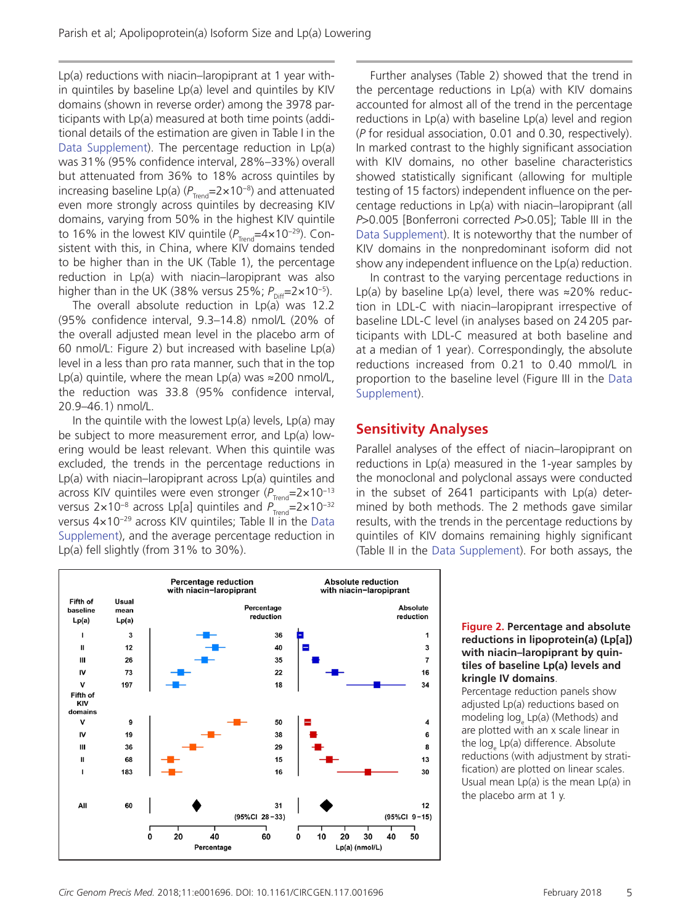Lp(a) reductions with niacin–laropiprant at 1 year within quintiles by baseline Lp(a) level and quintiles by KIV domains (shown in reverse order) among the 3978 participants with Lp(a) measured at both time points (additional details of the estimation are given in Table I in the Data Supplement). The percentage reduction in Lp(a) was 31% (95% confidence interval, 28%–33%) overall but attenuated from 36% to 18% across quintiles by increasing baseline Lp(a) ( $P<sub>Trend</sub>=2×10<sup>-8</sup>$ ) and attenuated even more strongly across quintiles by decreasing KIV domains, varying from 50% in the highest KIV quintile to 16% in the lowest KIV quintile ( $P_{\text{Trend}}$ =4×10<sup>-29</sup>). Consistent with this, in China, where KIV domains tended to be higher than in the UK (Table 1), the percentage reduction in Lp(a) with niacin–laropiprant was also higher than in the UK (38% versus 25%;  $P_{\text{Diff}}=2\times10^{-5}$ ).

The overall absolute reduction in Lp(a) was 12.2 (95% confidence interval, 9.3–14.8) nmol/L (20% of the overall adjusted mean level in the placebo arm of 60 nmol/L: Figure 2) but increased with baseline Lp(a) level in a less than pro rata manner, such that in the top Lp(a) quintile, where the mean Lp(a) was  $\approx$ 200 nmol/L, the reduction was 33.8 (95% confidence interval, 20.9–46.1) nmol/L.

In the quintile with the lowest  $Lp(a)$  levels,  $Lp(a)$  may be subject to more measurement error, and Lp(a) lowering would be least relevant. When this quintile was excluded, the trends in the percentage reductions in Lp(a) with niacin–laropiprant across Lp(a) quintiles and across KIV quintiles were even stronger ( $P<sub>Trend</sub> = 2 \times 10^{-13}$ versus 2×10<sup>-8</sup> across Lp[a] quintiles and  $P_{\text{Trend}}^{\text{Hend}}$ =2×10<sup>-32</sup> versus 4×10−29 across KIV quintiles; Table II in the Data Supplement), and the average percentage reduction in Lp(a) fell slightly (from 31% to 30%).

Further analyses (Table 2) showed that the trend in the percentage reductions in Lp(a) with KIV domains accounted for almost all of the trend in the percentage reductions in Lp(a) with baseline Lp(a) level and region (*P* for residual association, 0.01 and 0.30, respectively). In marked contrast to the highly significant association with KIV domains, no other baseline characteristics showed statistically significant (allowing for multiple testing of 15 factors) independent influence on the percentage reductions in Lp(a) with niacin–laropiprant (all *P*>0.005 [Bonferroni corrected *P*>0.05]; Table III in the Data Supplement). It is noteworthy that the number of KIV domains in the nonpredominant isoform did not show any independent influence on the Lp(a) reduction.

In contrast to the varying percentage reductions in Lp(a) by baseline Lp(a) level, there was ≈20% reduction in LDL-C with niacin–laropiprant irrespective of baseline LDL-C level (in analyses based on 24 205 participants with LDL-C measured at both baseline and at a median of 1 year). Correspondingly, the absolute reductions increased from 0.21 to 0.40 mmol/L in proportion to the baseline level (Figure III in the Data Supplement).

# **Sensitivity Analyses**

Parallel analyses of the effect of niacin–laropiprant on reductions in Lp(a) measured in the 1-year samples by the monoclonal and polyclonal assays were conducted in the subset of 2641 participants with Lp(a) determined by both methods. The 2 methods gave similar results, with the trends in the percentage reductions by quintiles of KIV domains remaining highly significant (Table II in the Data Supplement). For both assays, the



#### **Figure 2. Percentage and absolute reductions in lipoprotein(a) (Lp[a]) with niacin–laropiprant by quintiles of baseline Lp(a) levels and kringle IV domains**.

Percentage reduction panels show adjusted Lp(a) reductions based on modeling log<sub>e</sub> Lp(a) (Methods) and are plotted with an x scale linear in the log<sub>e</sub> Lp(a) difference. Absolute reductions (with adjustment by stratification) are plotted on linear scales. Usual mean  $Lp(a)$  is the mean  $Lp(a)$  in the placebo arm at 1 y.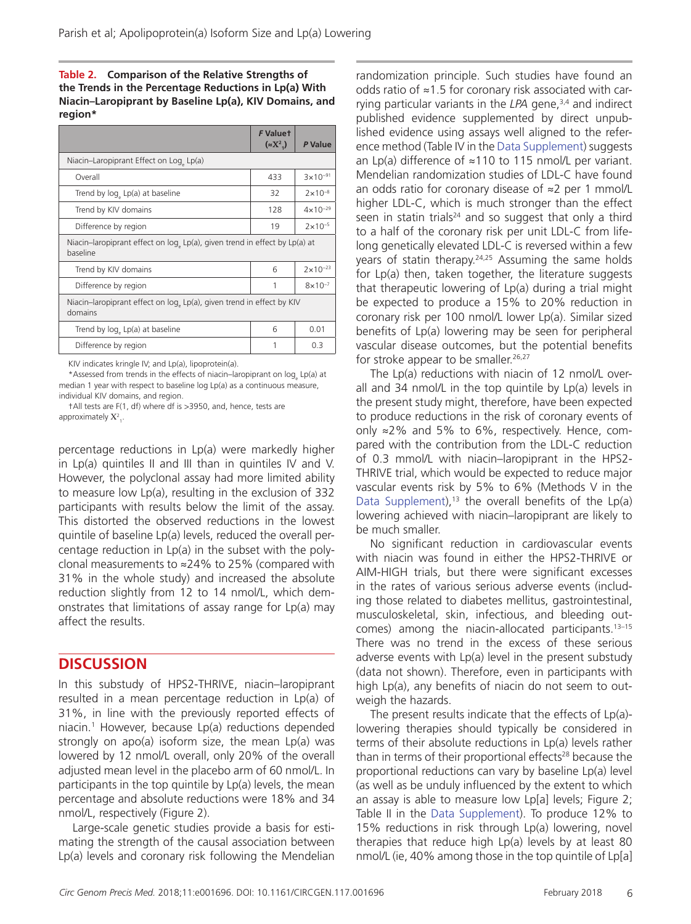#### **Table 2. Comparison of the Relative Strengths of the Trends in the Percentage Reductions in Lp(a) With Niacin–Laropiprant by Baseline Lp(a), KIV Domains, and region\***

|                                                                                        | <b>F</b> Valuet<br>$(\approx X^2)$ | P Value             |  |  |  |
|----------------------------------------------------------------------------------------|------------------------------------|---------------------|--|--|--|
| Niacin-Laropiprant Effect on Log. Lp(a)                                                |                                    |                     |  |  |  |
| Overall                                                                                | 433                                | $3 \times 10^{-91}$ |  |  |  |
| Trend by log <sub>e</sub> Lp(a) at baseline                                            | 32                                 | $2 \times 10^{-8}$  |  |  |  |
| Trend by KIV domains                                                                   | 128                                | $4 \times 10^{-29}$ |  |  |  |
| Difference by region                                                                   | 19                                 | $2 \times 10^{-5}$  |  |  |  |
| Niacin-laropiprant effect on log. Lp(a), given trend in effect by Lp(a) at<br>baseline |                                    |                     |  |  |  |
| Trend by KIV domains                                                                   | 6                                  | $2 \times 10^{-23}$ |  |  |  |
| Difference by region                                                                   | 1                                  | $8 \times 10^{-7}$  |  |  |  |
| Niacin–laropiprant effect on log, Lp(a), given trend in effect by KIV<br>domains       |                                    |                     |  |  |  |
| Trend by $log_a Lp(a)$ at baseline                                                     | 6                                  | 0.01                |  |  |  |
| Difference by region                                                                   |                                    | 0.3                 |  |  |  |

KIV indicates kringle IV; and Lp(a), lipoprotein(a).

\*Assessed from trends in the effects of niacin–laropiprant on log<sub>e</sub> Lp(a) at median 1 year with respect to baseline log Lp(a) as a continuous measure, individual KIV domains, and region.

†All tests are F(1, df) where df is >3950, and, hence, tests are approximately  $\boldsymbol{X^2}_1$ .

percentage reductions in Lp(a) were markedly higher in Lp(a) quintiles II and III than in quintiles IV and V. However, the polyclonal assay had more limited ability to measure low Lp(a), resulting in the exclusion of 332 participants with results below the limit of the assay. This distorted the observed reductions in the lowest quintile of baseline Lp(a) levels, reduced the overall percentage reduction in Lp(a) in the subset with the polyclonal measurements to ≈24% to 25% (compared with 31% in the whole study) and increased the absolute reduction slightly from 12 to 14 nmol/L, which demonstrates that limitations of assay range for Lp(a) may affect the results.

# **DISCUSSION**

In this substudy of HPS2-THRIVE, niacin–laropiprant resulted in a mean percentage reduction in Lp(a) of 31%, in line with the previously reported effects of niacin.1 However, because Lp(a) reductions depended strongly on apo(a) isoform size, the mean Lp(a) was lowered by 12 nmol/L overall, only 20% of the overall adjusted mean level in the placebo arm of 60 nmol/L. In participants in the top quintile by Lp(a) levels, the mean percentage and absolute reductions were 18% and 34 nmol/L, respectively (Figure 2).

Large-scale genetic studies provide a basis for estimating the strength of the causal association between Lp(a) levels and coronary risk following the Mendelian

randomization principle. Such studies have found an odds ratio of ≈1.5 for coronary risk associated with carrying particular variants in the *LPA* gene,3,4 and indirect published evidence supplemented by direct unpublished evidence using assays well aligned to the reference method (Table IV in the Data Supplement) suggests an Lp(a) difference of ≈110 to 115 nmol/L per variant. Mendelian randomization studies of LDL-C have found an odds ratio for coronary disease of ≈2 per 1 mmol/L higher LDL-C, which is much stronger than the effect seen in statin trials<sup>24</sup> and so suggest that only a third to a half of the coronary risk per unit LDL-C from lifelong genetically elevated LDL-C is reversed within a few years of statin therapy.<sup>24,25</sup> Assuming the same holds for Lp(a) then, taken together, the literature suggests that therapeutic lowering of Lp(a) during a trial might be expected to produce a 15% to 20% reduction in coronary risk per 100 nmol/L lower Lp(a). Similar sized benefits of Lp(a) lowering may be seen for peripheral vascular disease outcomes, but the potential benefits for stroke appear to be smaller.<sup>26,27</sup>

The Lp(a) reductions with niacin of 12 nmol/L overall and 34 nmol/L in the top quintile by Lp(a) levels in the present study might, therefore, have been expected to produce reductions in the risk of coronary events of only ≈2% and 5% to 6%, respectively. Hence, compared with the contribution from the LDL-C reduction of 0.3 mmol/L with niacin–laropiprant in the HPS2- THRIVE trial, which would be expected to reduce major vascular events risk by 5% to 6% (Methods V in the Data Supplement),<sup>13</sup> the overall benefits of the  $Lp(a)$ lowering achieved with niacin–laropiprant are likely to be much smaller.

No significant reduction in cardiovascular events with niacin was found in either the HPS2-THRIVE or AIM-HIGH trials, but there were significant excesses in the rates of various serious adverse events (including those related to diabetes mellitus, gastrointestinal, musculoskeletal, skin, infectious, and bleeding outcomes) among the niacin-allocated participants.13–15 There was no trend in the excess of these serious adverse events with Lp(a) level in the present substudy (data not shown). Therefore, even in participants with high Lp(a), any benefits of niacin do not seem to outweigh the hazards.

The present results indicate that the effects of Lp(a) lowering therapies should typically be considered in terms of their absolute reductions in Lp(a) levels rather than in terms of their proportional effects<sup>28</sup> because the proportional reductions can vary by baseline Lp(a) level (as well as be unduly influenced by the extent to which an assay is able to measure low Lp[a] levels; Figure 2; Table II in the Data Supplement). To produce 12% to 15% reductions in risk through Lp(a) lowering, novel therapies that reduce high Lp(a) levels by at least 80 nmol/L (ie, 40% among those in the top quintile of Lp[a]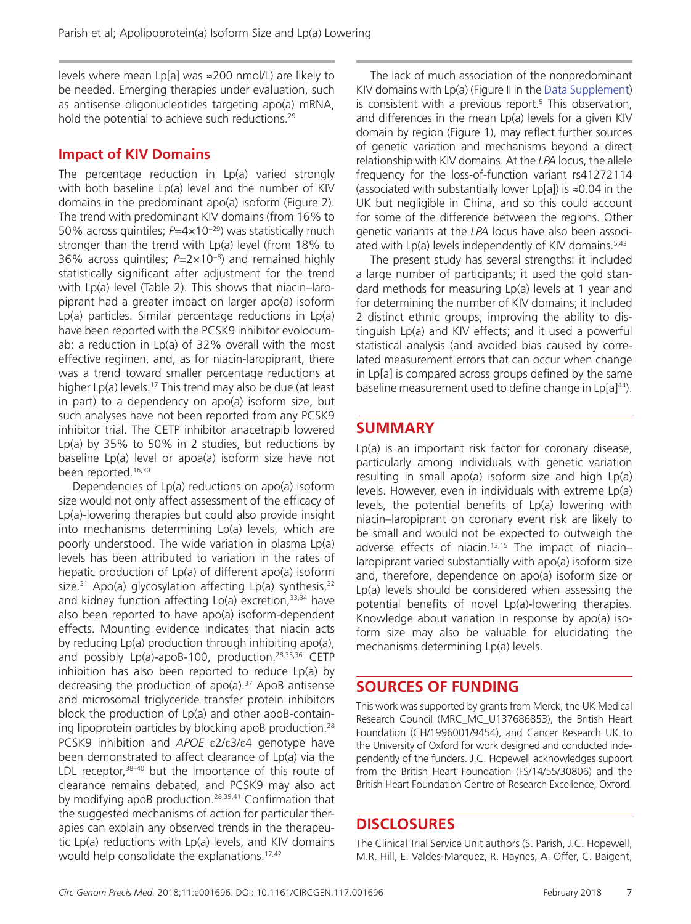levels where mean Lp[a] was ≈200 nmol/L) are likely to be needed. Emerging therapies under evaluation, such as antisense oligonucleotides targeting apo(a) mRNA, hold the potential to achieve such reductions.<sup>29</sup>

### **Impact of KIV Domains**

The percentage reduction in Lp(a) varied strongly with both baseline Lp(a) level and the number of KIV domains in the predominant apo(a) isoform (Figure 2). The trend with predominant KIV domains (from 16% to 50% across quintiles; *P*=4×10−29) was statistically much stronger than the trend with Lp(a) level (from 18% to 36% across quintiles; *P*=2×10−8 ) and remained highly statistically significant after adjustment for the trend with Lp(a) level (Table 2). This shows that niacin–laropiprant had a greater impact on larger apo(a) isoform Lp(a) particles. Similar percentage reductions in Lp(a) have been reported with the PCSK9 inhibitor evolocumab: a reduction in Lp(a) of 32% overall with the most effective regimen, and, as for niacin-laropiprant, there was a trend toward smaller percentage reductions at higher Lp(a) levels.<sup>17</sup> This trend may also be due (at least in part) to a dependency on apo(a) isoform size, but such analyses have not been reported from any PCSK9 inhibitor trial. The CETP inhibitor anacetrapib lowered Lp(a) by 35% to 50% in 2 studies, but reductions by baseline Lp(a) level or apoa(a) isoform size have not been reported.<sup>16,30</sup>

Dependencies of Lp(a) reductions on apo(a) isoform size would not only affect assessment of the efficacy of Lp(a)-lowering therapies but could also provide insight into mechanisms determining Lp(a) levels, which are poorly understood. The wide variation in plasma Lp(a) levels has been attributed to variation in the rates of hepatic production of Lp(a) of different apo(a) isoform size. $31$  Apo(a) glycosylation affecting Lp(a) synthesis,  $32$ and kidney function affecting  $Lp(a)$  excretion,  $33,34$  have also been reported to have apo(a) isoform-dependent effects. Mounting evidence indicates that niacin acts by reducing Lp(a) production through inhibiting apo(a), and possibly Lp(a)-apoB-100, production.28,35,36 CETP inhibition has also been reported to reduce Lp(a) by decreasing the production of apo(a). $37$  ApoB antisense and microsomal triglyceride transfer protein inhibitors block the production of Lp(a) and other apoB-containing lipoprotein particles by blocking apoB production.28 PCSK9 inhibition and *APOE* ε2/ε3/ε4 genotype have been demonstrated to affect clearance of Lp(a) via the LDL receptor,<sup>38-40</sup> but the importance of this route of clearance remains debated, and PCSK9 may also act by modifying apoB production.28,39,41 Confirmation that the suggested mechanisms of action for particular therapies can explain any observed trends in the therapeutic Lp(a) reductions with Lp(a) levels, and KIV domains would help consolidate the explanations.17,42

The lack of much association of the nonpredominant KIV domains with Lp(a) (Figure II in the Data Supplement) is consistent with a previous report.<sup>5</sup> This observation, and differences in the mean Lp(a) levels for a given KIV domain by region (Figure 1), may reflect further sources of genetic variation and mechanisms beyond a direct relationship with KIV domains. At the *LPA* locus, the allele frequency for the loss-of-function variant rs41272114 (associated with substantially lower Lp[a]) is ≈0.04 in the UK but negligible in China, and so this could account for some of the difference between the regions. Other genetic variants at the *LPA* locus have also been associated with Lp(a) levels independently of KIV domains.<sup>5,43</sup>

The present study has several strengths: it included a large number of participants; it used the gold standard methods for measuring Lp(a) levels at 1 year and for determining the number of KIV domains; it included 2 distinct ethnic groups, improving the ability to distinguish Lp(a) and KIV effects; and it used a powerful statistical analysis (and avoided bias caused by correlated measurement errors that can occur when change in Lp[a] is compared across groups defined by the same baseline measurement used to define change in Lp[a]<sup>44</sup>).

# **SUMMARY**

Lp(a) is an important risk factor for coronary disease, particularly among individuals with genetic variation resulting in small apo(a) isoform size and high Lp(a) levels. However, even in individuals with extreme Lp(a) levels, the potential benefits of Lp(a) lowering with niacin–laropiprant on coronary event risk are likely to be small and would not be expected to outweigh the adverse effects of niacin.<sup>13,15</sup> The impact of niacinlaropiprant varied substantially with apo(a) isoform size and, therefore, dependence on apo(a) isoform size or Lp(a) levels should be considered when assessing the potential benefits of novel Lp(a)-lowering therapies. Knowledge about variation in response by apo(a) isoform size may also be valuable for elucidating the mechanisms determining Lp(a) levels.

# **SOURCES OF FUNDING**

This work was supported by grants from Merck, the UK Medical Research Council (MRC\_MC\_U137686853), the British Heart Foundation (CH/1996001/9454), and Cancer Research UK to the University of Oxford for work designed and conducted independently of the funders. J.C. Hopewell acknowledges support from the British Heart Foundation (FS/14/55/30806) and the British Heart Foundation Centre of Research Excellence, Oxford.

### **DISCLOSURES**

The Clinical Trial Service Unit authors (S. Parish, J.C. Hopewell, M.R. Hill, E. Valdes-Marquez, R. Haynes, A. Offer, C. Baigent,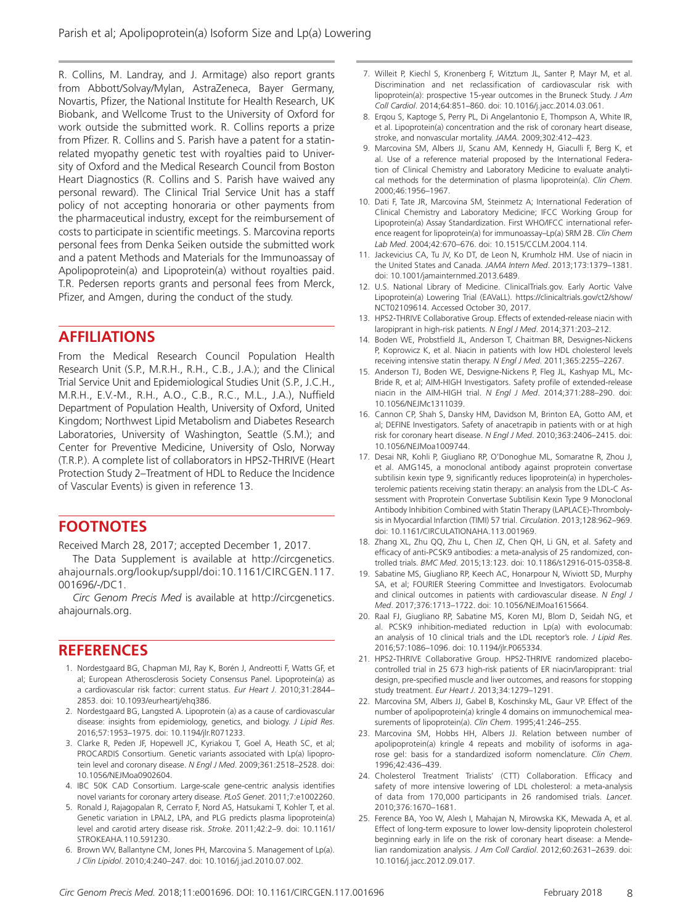R. Collins, M. Landray, and J. Armitage) also report grants from Abbott/Solvay/Mylan, AstraZeneca, Bayer Germany, Novartis, Pfizer, the National Institute for Health Research, UK Biobank, and Wellcome Trust to the University of Oxford for work outside the submitted work. R. Collins reports a prize from Pfizer. R. Collins and S. Parish have a patent for a statinrelated myopathy genetic test with royalties paid to University of Oxford and the Medical Research Council from Boston Heart Diagnostics (R. Collins and S. Parish have waived any personal reward). The Clinical Trial Service Unit has a staff policy of not accepting honoraria or other payments from the pharmaceutical industry, except for the reimbursement of costs to participate in scientific meetings. S. Marcovina reports personal fees from Denka Seiken outside the submitted work and a patent Methods and Materials for the Immunoassay of Apolipoprotein(a) and Lipoprotein(a) without royalties paid. T.R. Pedersen reports grants and personal fees from Merck, Pfizer, and Amgen, during the conduct of the study.

# **AFFILIATIONS**

From the Medical Research Council Population Health Research Unit (S.P., M.R.H., R.H., C.B., J.A.); and the Clinical Trial Service Unit and Epidemiological Studies Unit (S.P., J.C.H., M.R.H., E.V.-M., R.H., A.O., C.B., R.C., M.L., J.A.), Nuffield Department of Population Health, University of Oxford, United Kingdom; Northwest Lipid Metabolism and Diabetes Research Laboratories, University of Washington, Seattle (S.M.); and Center for Preventive Medicine, University of Oslo, Norway (T.R.P.). A complete list of collaborators in HPS2-THRIVE (Heart Protection Study 2–Treatment of HDL to Reduce the Incidence of Vascular Events) is given in reference 13.

# **FOOTNOTES**

Received March 28, 2017; accepted December 1, 2017.

The Data Supplement is available at http://circgenetics. ahajournals.org/lookup/suppl/doi:10.1161/CIRCGEN.117. 001696/-/DC1.

*Circ Genom Precis Med* is available at http://circgenetics. ahajournals.org.

### **REFERENCES**

- 1. Nordestgaard BG, Chapman MJ, Ray K, Borén J, Andreotti F, Watts GF, et al; European Atherosclerosis Society Consensus Panel. Lipoprotein(a) as a cardiovascular risk factor: current status. *Eur Heart J*. 2010;31:2844– 2853. doi: 10.1093/eurheartj/ehq386.
- 2. Nordestgaard BG, Langsted A. Lipoprotein (a) as a cause of cardiovascular disease: insights from epidemiology, genetics, and biology. *J Lipid Res*. 2016;57:1953–1975. doi: 10.1194/jlr.R071233.
- 3. Clarke R, Peden JF, Hopewell JC, Kyriakou T, Goel A, Heath SC, et al; PROCARDIS Consortium. Genetic variants associated with Lp(a) lipoprotein level and coronary disease. *N Engl J Med*. 2009;361:2518–2528. doi: 10.1056/NEJMoa0902604.
- 4. IBC 50K CAD Consortium. Large-scale gene-centric analysis identifies novel variants for coronary artery disease. *PLoS Genet*. 2011;7:e1002260.
- 5. Ronald J, Rajagopalan R, Cerrato F, Nord AS, Hatsukami T, Kohler T, et al. Genetic variation in LPAL2, LPA, and PLG predicts plasma lipoprotein(a) level and carotid artery disease risk. *Stroke*. 2011;42:2–9. doi: 10.1161/ STROKEAHA.110.591230.
- 6. Brown WV, Ballantyne CM, Jones PH, Marcovina S. Management of Lp(a). *J Clin Lipidol*. 2010;4:240–247. doi: 10.1016/j.jacl.2010.07.002.
- 7. Willeit P, Kiechl S, Kronenberg F, Witztum JL, Santer P, Mayr M, et al. Discrimination and net reclassification of cardiovascular risk with lipoprotein(a): prospective 15-year outcomes in the Bruneck Study. *J Am Coll Cardiol*. 2014;64:851–860. doi: 10.1016/j.jacc.2014.03.061.
- 8. Erqou S, Kaptoge S, Perry PL, Di Angelantonio E, Thompson A, White IR, et al. Lipoprotein(a) concentration and the risk of coronary heart disease, stroke, and nonvascular mortality. *JAMA*. 2009;302:412–423.
- 9. Marcovina SM, Albers JJ, Scanu AM, Kennedy H, Giaculli F, Berg K, et al. Use of a reference material proposed by the International Federation of Clinical Chemistry and Laboratory Medicine to evaluate analytical methods for the determination of plasma lipoprotein(a). *Clin Chem*. 2000;46:1956–1967.
- 10. Dati F, Tate JR, Marcovina SM, Steinmetz A; International Federation of Clinical Chemistry and Laboratory Medicine; IFCC Working Group for Lipoprotein(a) Assay Standardization. First WHO/IFCC international reference reagent for lipoprotein(a) for immunoassay–Lp(a) SRM 2B. *Clin Chem Lab Med*. 2004;42:670–676. doi: 10.1515/CCLM.2004.114.
- 11. Jackevicius CA, Tu JV, Ko DT, de Leon N, Krumholz HM. Use of niacin in the United States and Canada. *JAMA Intern Med*. 2013;173:1379–1381. doi: 10.1001/jamainternmed.2013.6489.
- 12. U.S. National Library of Medicine. ClinicalTrials.gov. Early Aortic Valve Lipoprotein(a) Lowering Trial (EAVaLL). https://clinicaltrials.gov/ct2/show/ NCT02109614. Accessed October 30, 2017.
- 13. HPS2-THRIVE Collaborative Group. Effects of extended-release niacin with laropiprant in high-risk patients. *N Engl J Med*. 2014;371:203–212.
- 14. Boden WE, Probstfield JL, Anderson T, Chaitman BR, Desvignes-Nickens P, Koprowicz K, et al. Niacin in patients with low HDL cholesterol levels receiving intensive statin therapy. *N Engl J Med*. 2011;365:2255–2267.
- 15. Anderson TJ, Boden WE, Desvigne-Nickens P, Fleg JL, Kashyap ML, Mc-Bride R, et al; AIM-HIGH Investigators. Safety profile of extended-release niacin in the AIM-HIGH trial. *N Engl J Med*. 2014;371:288–290. doi: 10.1056/NEJMc1311039.
- 16. Cannon CP, Shah S, Dansky HM, Davidson M, Brinton EA, Gotto AM, et al; DEFINE Investigators. Safety of anacetrapib in patients with or at high risk for coronary heart disease. *N Engl J Med*. 2010;363:2406–2415. doi: 10.1056/NEJMoa1009744.
- 17. Desai NR, Kohli P, Giugliano RP, O'Donoghue ML, Somaratne R, Zhou J, et al. AMG145, a monoclonal antibody against proprotein convertase subtilisin kexin type 9, significantly reduces lipoprotein(a) in hypercholesterolemic patients receiving statin therapy: an analysis from the LDL-C Assessment with Proprotein Convertase Subtilisin Kexin Type 9 Monoclonal Antibody Inhibition Combined with Statin Therapy (LAPLACE)-Thrombolysis in Myocardial Infarction (TIMI) 57 trial. *Circulation*. 2013;128:962–969. doi: 10.1161/CIRCULATIONAHA.113.001969.
- 18. Zhang XL, Zhu QQ, Zhu L, Chen JZ, Chen QH, Li GN, et al. Safety and efficacy of anti-PCSK9 antibodies: a meta-analysis of 25 randomized, controlled trials. *BMC Med*. 2015;13:123. doi: 10.1186/s12916-015-0358-8.
- 19. Sabatine MS, Giugliano RP, Keech AC, Honarpour N, Wiviott SD, Murphy SA, et al; FOURIER Steering Committee and Investigators. Evolocumab and clinical outcomes in patients with cardiovascular disease. *N Engl J Med*. 2017;376:1713–1722. doi: 10.1056/NEJMoa1615664.
- 20. Raal FJ, Giugliano RP, Sabatine MS, Koren MJ, Blom D, Seidah NG, et al. PCSK9 inhibition-mediated reduction in Lp(a) with evolocumab: an analysis of 10 clinical trials and the LDL receptor's role. *J Lipid Res*. 2016;57:1086–1096. doi: 10.1194/jlr.P065334.
- 21. HPS2-THRIVE Collaborative Group. HPS2-THRIVE randomized placebocontrolled trial in 25 673 high-risk patients of ER niacin/laropiprant: trial design, pre-specified muscle and liver outcomes, and reasons for stopping study treatment. *Eur Heart J*. 2013;34:1279–1291.
- 22. Marcovina SM, Albers JJ, Gabel B, Koschinsky ML, Gaur VP. Effect of the number of apolipoprotein(a) kringle 4 domains on immunochemical measurements of lipoprotein(a). *Clin Chem*. 1995;41:246–255.
- 23. Marcovina SM, Hobbs HH, Albers JJ. Relation between number of apolipoprotein(a) kringle 4 repeats and mobility of isoforms in agarose gel: basis for a standardized isoform nomenclature. *Clin Chem*. 1996;42:436–439.
- 24. Cholesterol Treatment Trialists' (CTT) Collaboration. Efficacy and safety of more intensive lowering of LDL cholesterol: a meta-analysis of data from 170,000 participants in 26 randomised trials. *Lancet*. 2010;376:1670–1681.
- 25. Ference BA, Yoo W, Alesh I, Mahajan N, Mirowska KK, Mewada A, et al. Effect of long-term exposure to lower low-density lipoprotein cholesterol beginning early in life on the risk of coronary heart disease: a Mendelian randomization analysis. *J Am Coll Cardiol*. 2012;60:2631–2639. doi: 10.1016/j.jacc.2012.09.017.